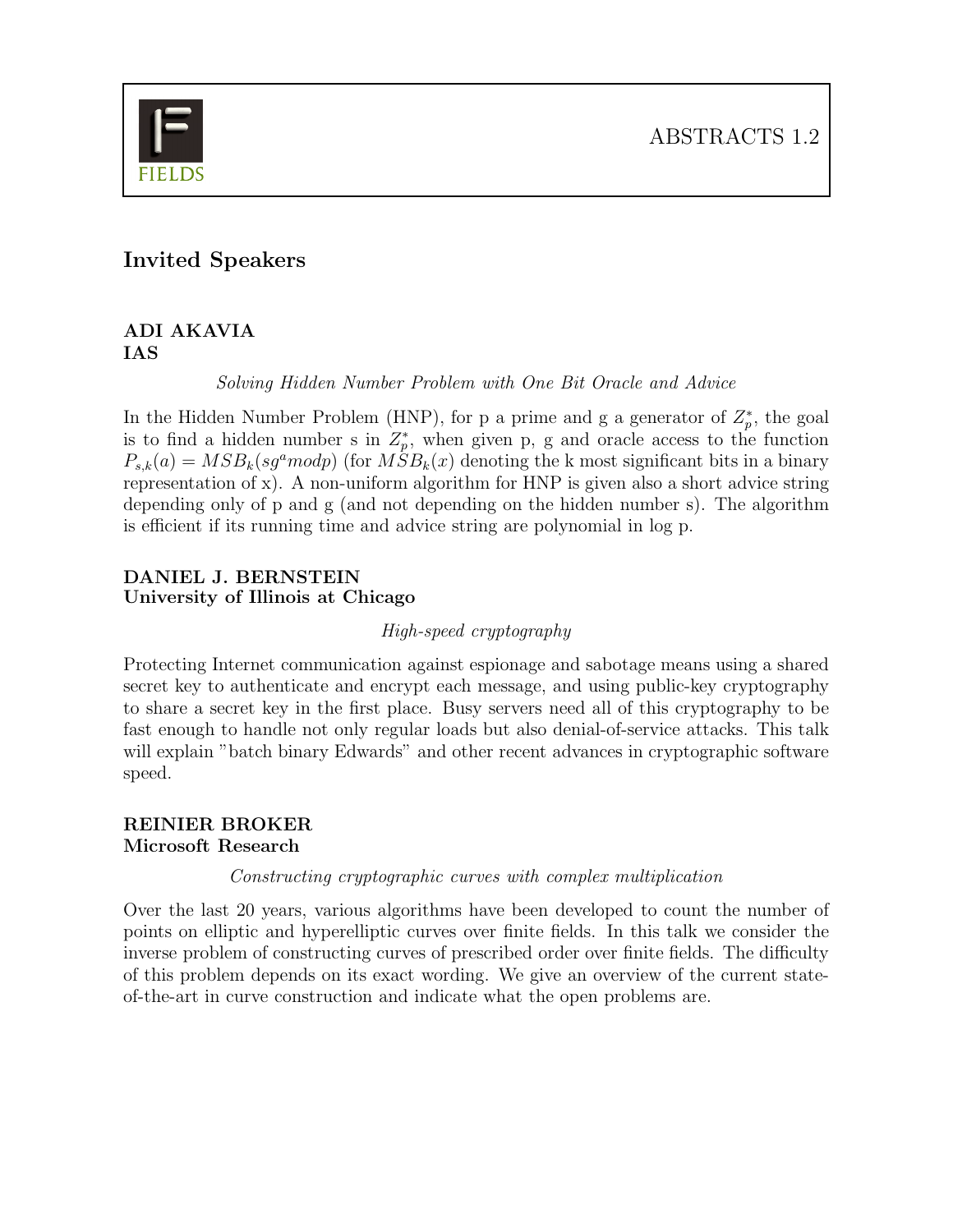

## Invited Speakers

## ADI AKAVIA IAS

Solving Hidden Number Problem with One Bit Oracle and Advice

In the Hidden Number Problem (HNP), for p a prime and g a generator of  $Z_p^*$  $_p^*$ , the goal is to find a hidden number s in  $Z_p^*$ p , when given p, g and oracle access to the function  $P_{s,k}(a) = MSB_k(sg^a \mod p)$  (for  $MSB_k(x)$  denoting the k most significant bits in a binary representation of x). A non-uniform algorithm for HNP is given also a short advice string depending only of p and g (and not depending on the hidden number s). The algorithm is efficient if its running time and advice string are polynomial in log p.

## DANIEL J. BERNSTEIN University of Illinois at Chicago

#### High-speed cryptography

Protecting Internet communication against espionage and sabotage means using a shared secret key to authenticate and encrypt each message, and using public-key cryptography to share a secret key in the first place. Busy servers need all of this cryptography to be fast enough to handle not only regular loads but also denial-of-service attacks. This talk will explain "batch binary Edwards" and other recent advances in cryptographic software speed.

## REINIER BROKER Microsoft Research

Constructing cryptographic curves with complex multiplication

Over the last 20 years, various algorithms have been developed to count the number of points on elliptic and hyperelliptic curves over finite fields. In this talk we consider the inverse problem of constructing curves of prescribed order over finite fields. The difficulty of this problem depends on its exact wording. We give an overview of the current stateof-the-art in curve construction and indicate what the open problems are.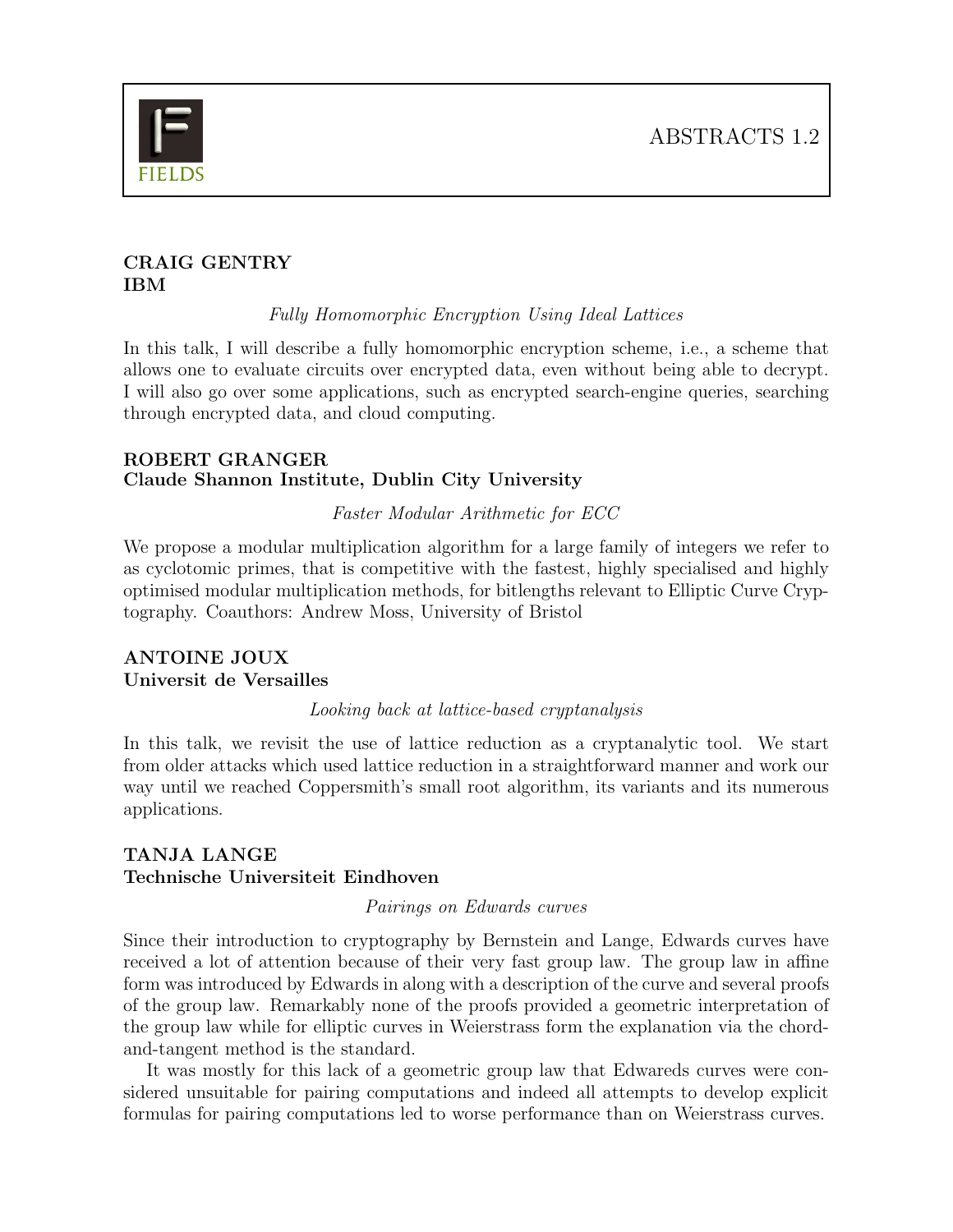

## CRAIG GENTRY IBM

Fully Homomorphic Encryption Using Ideal Lattices

In this talk, I will describe a fully homomorphic encryption scheme, i.e., a scheme that allows one to evaluate circuits over encrypted data, even without being able to decrypt. I will also go over some applications, such as encrypted search-engine queries, searching through encrypted data, and cloud computing.

## ROBERT GRANGER Claude Shannon Institute, Dublin City University

## Faster Modular Arithmetic for ECC

We propose a modular multiplication algorithm for a large family of integers we refer to as cyclotomic primes, that is competitive with the fastest, highly specialised and highly optimised modular multiplication methods, for bitlengths relevant to Elliptic Curve Cryptography. Coauthors: Andrew Moss, University of Bristol

## ANTOINE JOUX Universit de Versailles

#### Looking back at lattice-based cryptanalysis

In this talk, we revisit the use of lattice reduction as a cryptanalytic tool. We start from older attacks which used lattice reduction in a straightforward manner and work our way until we reached Coppersmith's small root algorithm, its variants and its numerous applications.

## TANJA LANGE Technische Universiteit Eindhoven

#### Pairings on Edwards curves

Since their introduction to cryptography by Bernstein and Lange, Edwards curves have received a lot of attention because of their very fast group law. The group law in affine form was introduced by Edwards in along with a description of the curve and several proofs of the group law. Remarkably none of the proofs provided a geometric interpretation of the group law while for elliptic curves in Weierstrass form the explanation via the chordand-tangent method is the standard.

It was mostly for this lack of a geometric group law that Edwareds curves were considered unsuitable for pairing computations and indeed all attempts to develop explicit formulas for pairing computations led to worse performance than on Weierstrass curves.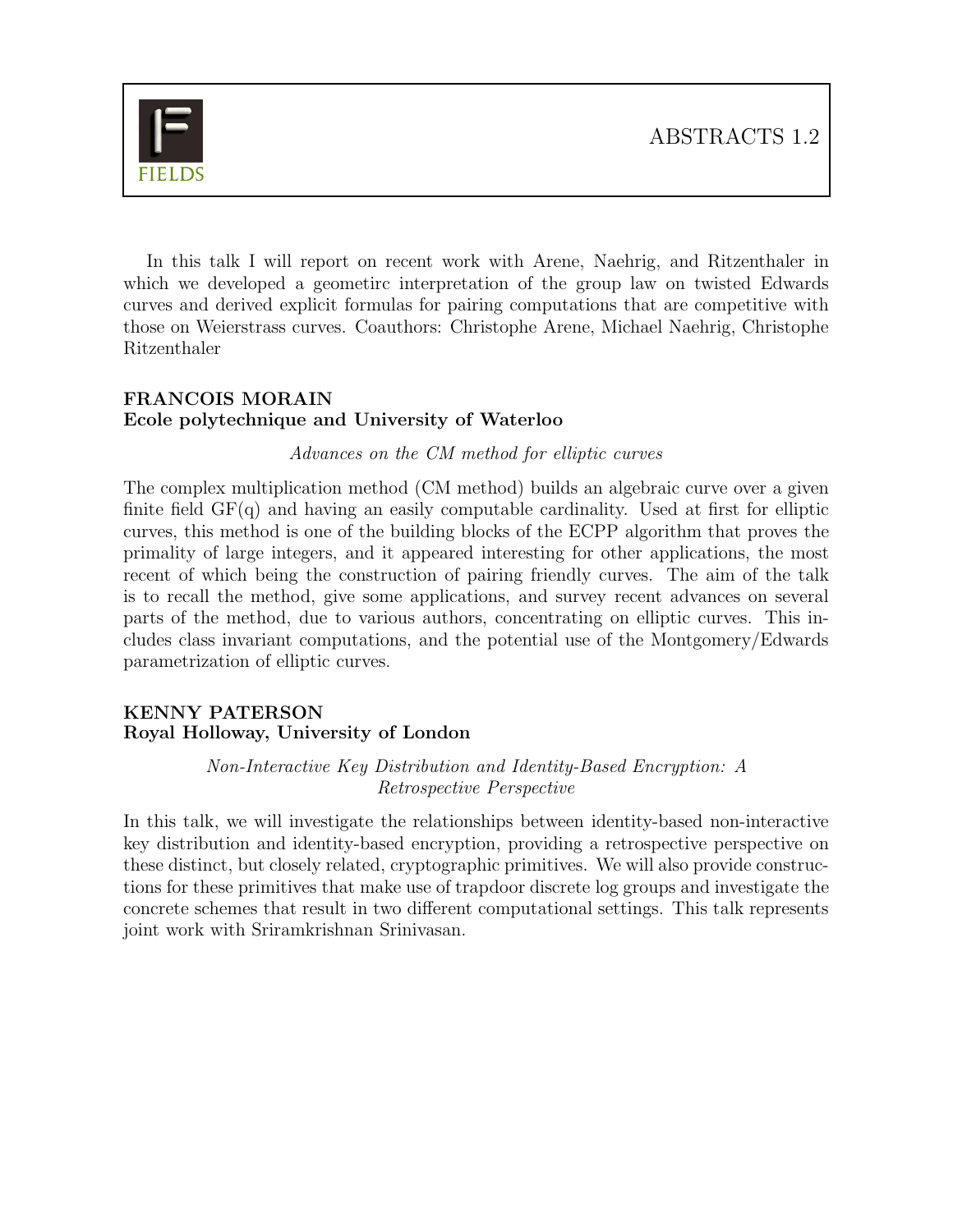

In this talk I will report on recent work with Arene, Naehrig, and Ritzenthaler in which we developed a geometirc interpretation of the group law on twisted Edwards curves and derived explicit formulas for pairing computations that are competitive with those on Weierstrass curves. Coauthors: Christophe Arene, Michael Naehrig, Christophe Ritzenthaler

## FRANCOIS MORAIN Ecole polytechnique and University of Waterloo

Advances on the CM method for elliptic curves

The complex multiplication method (CM method) builds an algebraic curve over a given finite field  $GF(q)$  and having an easily computable cardinality. Used at first for elliptic curves, this method is one of the building blocks of the ECPP algorithm that proves the primality of large integers, and it appeared interesting for other applications, the most recent of which being the construction of pairing friendly curves. The aim of the talk is to recall the method, give some applications, and survey recent advances on several parts of the method, due to various authors, concentrating on elliptic curves. This includes class invariant computations, and the potential use of the Montgomery/Edwards parametrization of elliptic curves.

## KENNY PATERSON Royal Holloway, University of London

Non-Interactive Key Distribution and Identity-Based Encryption: A Retrospective Perspective

In this talk, we will investigate the relationships between identity-based non-interactive key distribution and identity-based encryption, providing a retrospective perspective on these distinct, but closely related, cryptographic primitives. We will also provide constructions for these primitives that make use of trapdoor discrete log groups and investigate the concrete schemes that result in two different computational settings. This talk represents joint work with Sriramkrishnan Srinivasan.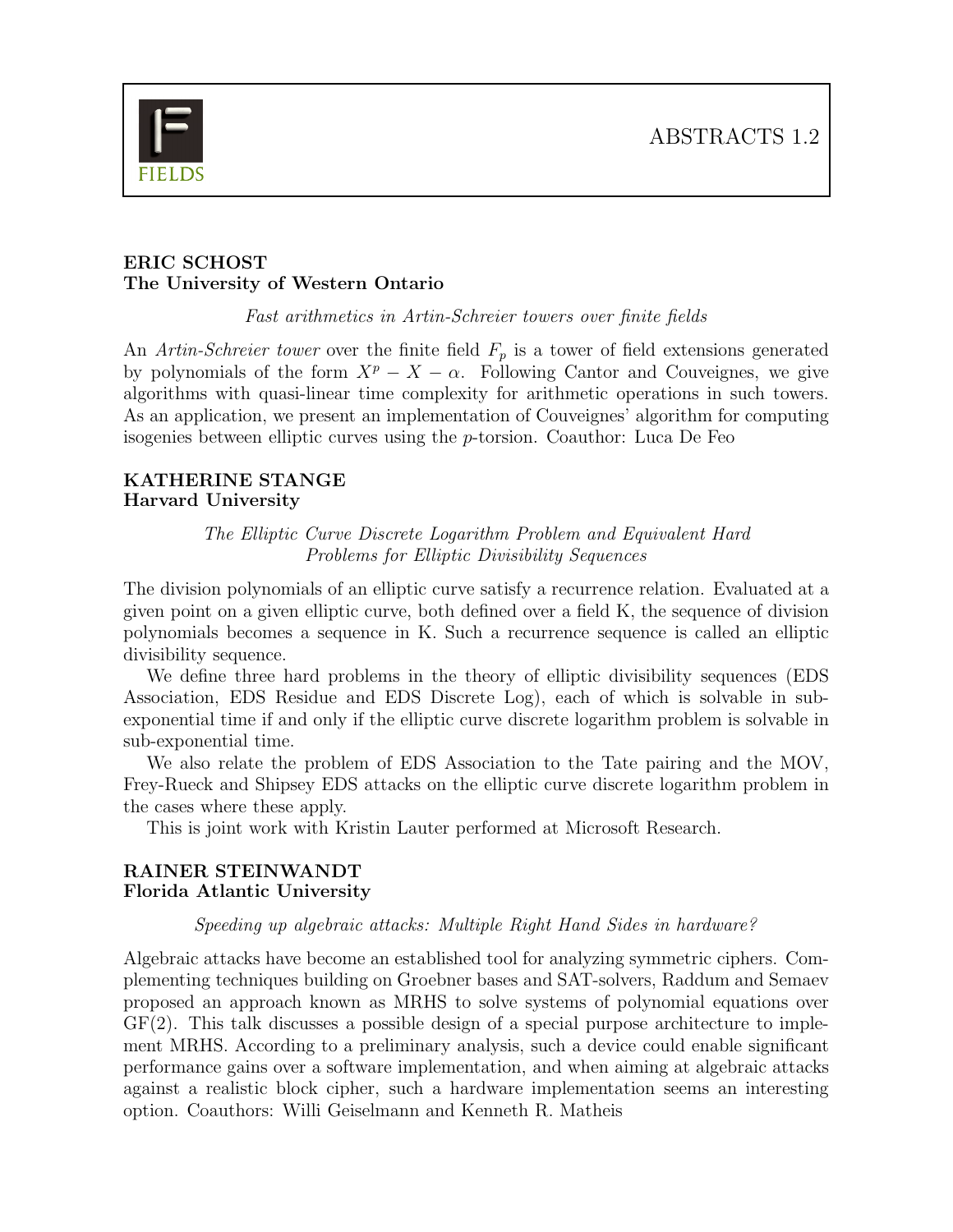

## ERIC SCHOST The University of Western Ontario

Fast arithmetics in Artin-Schreier towers over finite fields

An Artin-Schreier tower over the finite field  $F_p$  is a tower of field extensions generated by polynomials of the form  $X^p - X - \alpha$ . Following Cantor and Couveignes, we give algorithms with quasi-linear time complexity for arithmetic operations in such towers. As an application, we present an implementation of Couveignes' algorithm for computing isogenies between elliptic curves using the p-torsion. Coauthor: Luca De Feo

### KATHERINE STANGE Harvard University

The Elliptic Curve Discrete Logarithm Problem and Equivalent Hard Problems for Elliptic Divisibility Sequences

The division polynomials of an elliptic curve satisfy a recurrence relation. Evaluated at a given point on a given elliptic curve, both defined over a field K, the sequence of division polynomials becomes a sequence in K. Such a recurrence sequence is called an elliptic divisibility sequence.

We define three hard problems in the theory of elliptic divisibility sequences (EDS Association, EDS Residue and EDS Discrete Log), each of which is solvable in subexponential time if and only if the elliptic curve discrete logarithm problem is solvable in sub-exponential time.

We also relate the problem of EDS Association to the Tate pairing and the MOV, Frey-Rueck and Shipsey EDS attacks on the elliptic curve discrete logarithm problem in the cases where these apply.

This is joint work with Kristin Lauter performed at Microsoft Research.

## RAINER STEINWANDT Florida Atlantic University

## Speeding up algebraic attacks: Multiple Right Hand Sides in hardware?

Algebraic attacks have become an established tool for analyzing symmetric ciphers. Complementing techniques building on Groebner bases and SAT-solvers, Raddum and Semaev proposed an approach known as MRHS to solve systems of polynomial equations over GF(2). This talk discusses a possible design of a special purpose architecture to implement MRHS. According to a preliminary analysis, such a device could enable significant performance gains over a software implementation, and when aiming at algebraic attacks against a realistic block cipher, such a hardware implementation seems an interesting option. Coauthors: Willi Geiselmann and Kenneth R. Matheis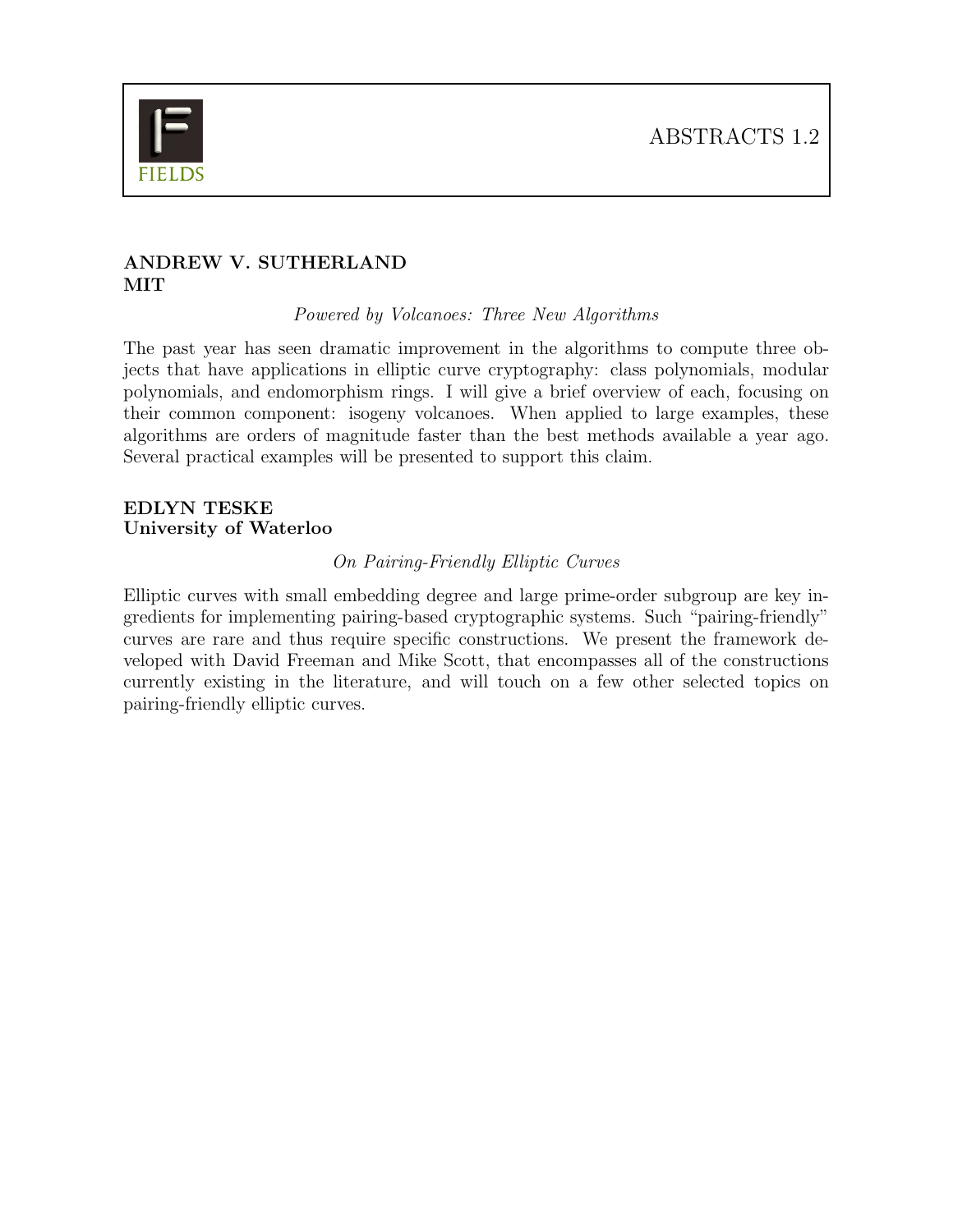

## ANDREW V. SUTHERLAND **MIT**

Powered by Volcanoes: Three New Algorithms

The past year has seen dramatic improvement in the algorithms to compute three objects that have applications in elliptic curve cryptography: class polynomials, modular polynomials, and endomorphism rings. I will give a brief overview of each, focusing on their common component: isogeny volcanoes. When applied to large examples, these algorithms are orders of magnitude faster than the best methods available a year ago. Several practical examples will be presented to support this claim.

## EDLYN TESKE University of Waterloo

## On Pairing-Friendly Elliptic Curves

Elliptic curves with small embedding degree and large prime-order subgroup are key ingredients for implementing pairing-based cryptographic systems. Such "pairing-friendly" curves are rare and thus require specific constructions. We present the framework developed with David Freeman and Mike Scott, that encompasses all of the constructions currently existing in the literature, and will touch on a few other selected topics on pairing-friendly elliptic curves.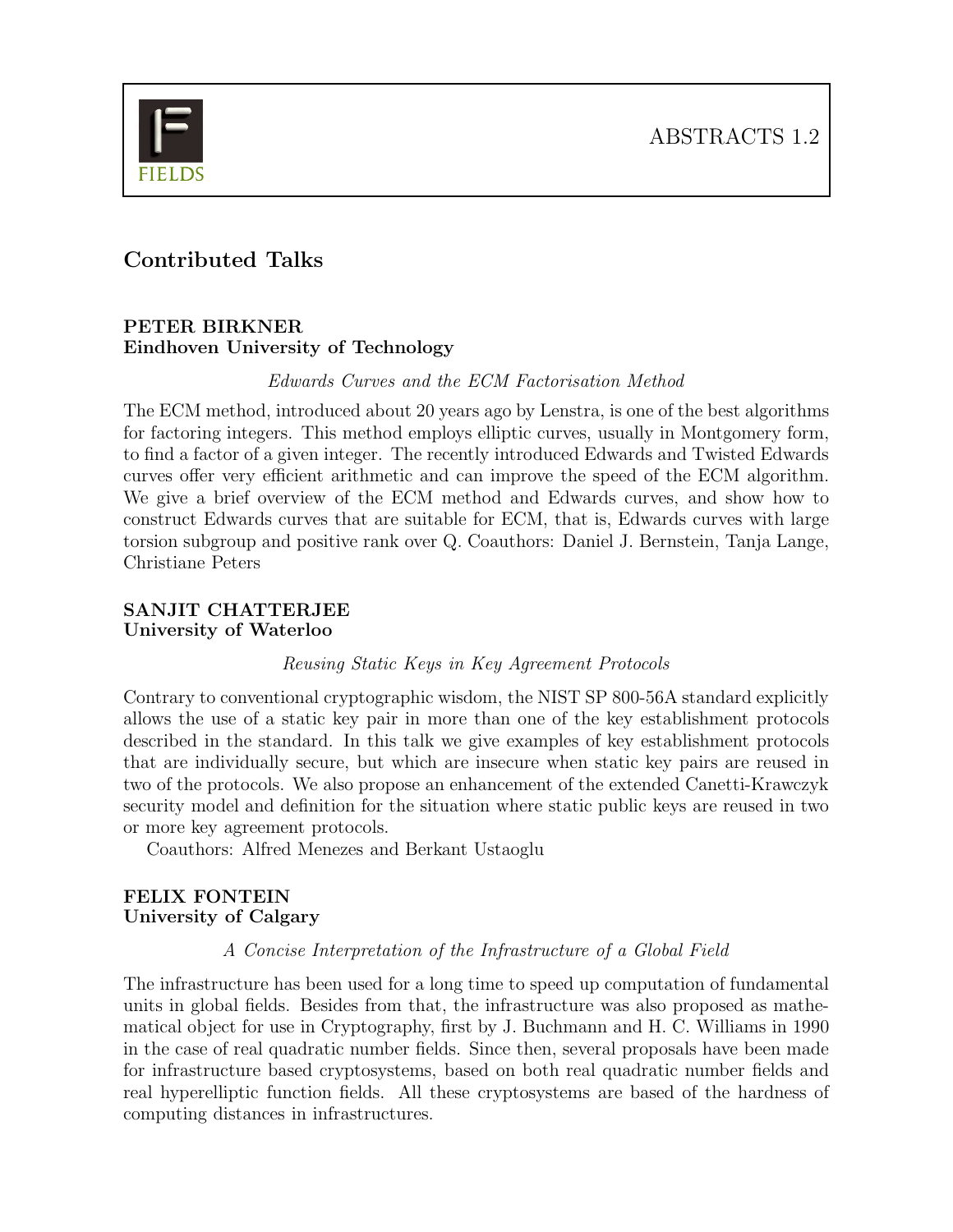

# Contributed Talks

#### PETER BIRKNER Eindhoven University of Technology

Edwards Curves and the ECM Factorisation Method

The ECM method, introduced about 20 years ago by Lenstra, is one of the best algorithms for factoring integers. This method employs elliptic curves, usually in Montgomery form, to find a factor of a given integer. The recently introduced Edwards and Twisted Edwards curves offer very efficient arithmetic and can improve the speed of the ECM algorithm. We give a brief overview of the ECM method and Edwards curves, and show how to construct Edwards curves that are suitable for ECM, that is, Edwards curves with large torsion subgroup and positive rank over Q. Coauthors: Daniel J. Bernstein, Tanja Lange, Christiane Peters

## SANJIT CHATTERJEE University of Waterloo

Reusing Static Keys in Key Agreement Protocols

Contrary to conventional cryptographic wisdom, the NIST SP 800-56A standard explicitly allows the use of a static key pair in more than one of the key establishment protocols described in the standard. In this talk we give examples of key establishment protocols that are individually secure, but which are insecure when static key pairs are reused in two of the protocols. We also propose an enhancement of the extended Canetti-Krawczyk security model and definition for the situation where static public keys are reused in two or more key agreement protocols.

Coauthors: Alfred Menezes and Berkant Ustaoglu

## FELIX FONTEIN University of Calgary

#### A Concise Interpretation of the Infrastructure of a Global Field

The infrastructure has been used for a long time to speed up computation of fundamental units in global fields. Besides from that, the infrastructure was also proposed as mathematical object for use in Cryptography, first by J. Buchmann and H. C. Williams in 1990 in the case of real quadratic number fields. Since then, several proposals have been made for infrastructure based cryptosystems, based on both real quadratic number fields and real hyperelliptic function fields. All these cryptosystems are based of the hardness of computing distances in infrastructures.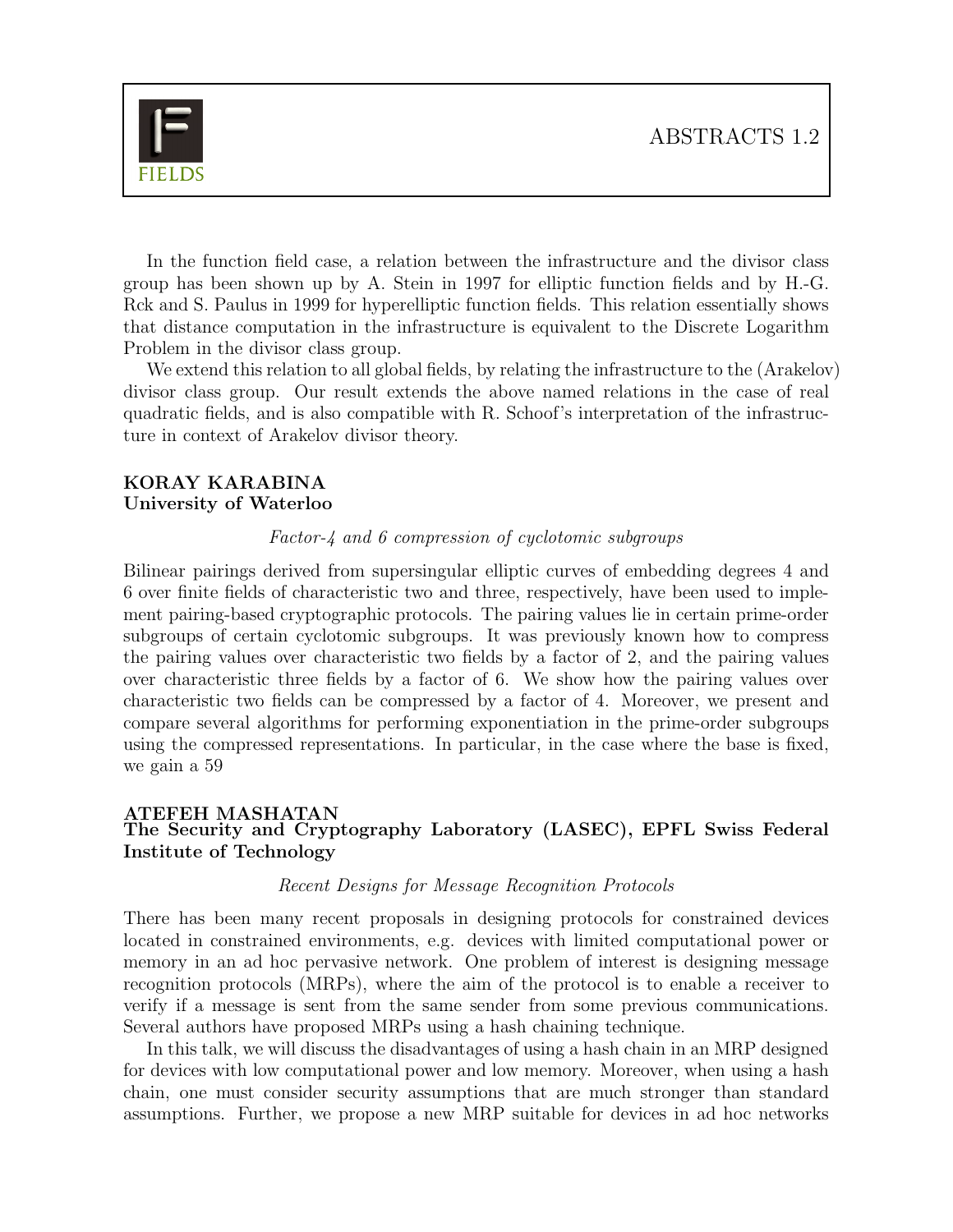

In the function field case, a relation between the infrastructure and the divisor class group has been shown up by A. Stein in 1997 for elliptic function fields and by H.-G. Rck and S. Paulus in 1999 for hyperelliptic function fields. This relation essentially shows that distance computation in the infrastructure is equivalent to the Discrete Logarithm Problem in the divisor class group.

We extend this relation to all global fields, by relating the infrastructure to the (Arakelov) divisor class group. Our result extends the above named relations in the case of real quadratic fields, and is also compatible with R. Schoof's interpretation of the infrastructure in context of Arakelov divisor theory.

#### KORAY KARABINA University of Waterloo

#### Factor-4 and 6 compression of cyclotomic subgroups

Bilinear pairings derived from supersingular elliptic curves of embedding degrees 4 and 6 over finite fields of characteristic two and three, respectively, have been used to implement pairing-based cryptographic protocols. The pairing values lie in certain prime-order subgroups of certain cyclotomic subgroups. It was previously known how to compress the pairing values over characteristic two fields by a factor of 2, and the pairing values over characteristic three fields by a factor of 6. We show how the pairing values over characteristic two fields can be compressed by a factor of 4. Moreover, we present and compare several algorithms for performing exponentiation in the prime-order subgroups using the compressed representations. In particular, in the case where the base is fixed, we gain a 59

#### ATEFEH MASHATAN The Security and Cryptography Laboratory (LASEC), EPFL Swiss Federal Institute of Technology

#### Recent Designs for Message Recognition Protocols

There has been many recent proposals in designing protocols for constrained devices located in constrained environments, e.g. devices with limited computational power or memory in an ad hoc pervasive network. One problem of interest is designing message recognition protocols (MRPs), where the aim of the protocol is to enable a receiver to verify if a message is sent from the same sender from some previous communications. Several authors have proposed MRPs using a hash chaining technique.

In this talk, we will discuss the disadvantages of using a hash chain in an MRP designed for devices with low computational power and low memory. Moreover, when using a hash chain, one must consider security assumptions that are much stronger than standard assumptions. Further, we propose a new MRP suitable for devices in ad hoc networks